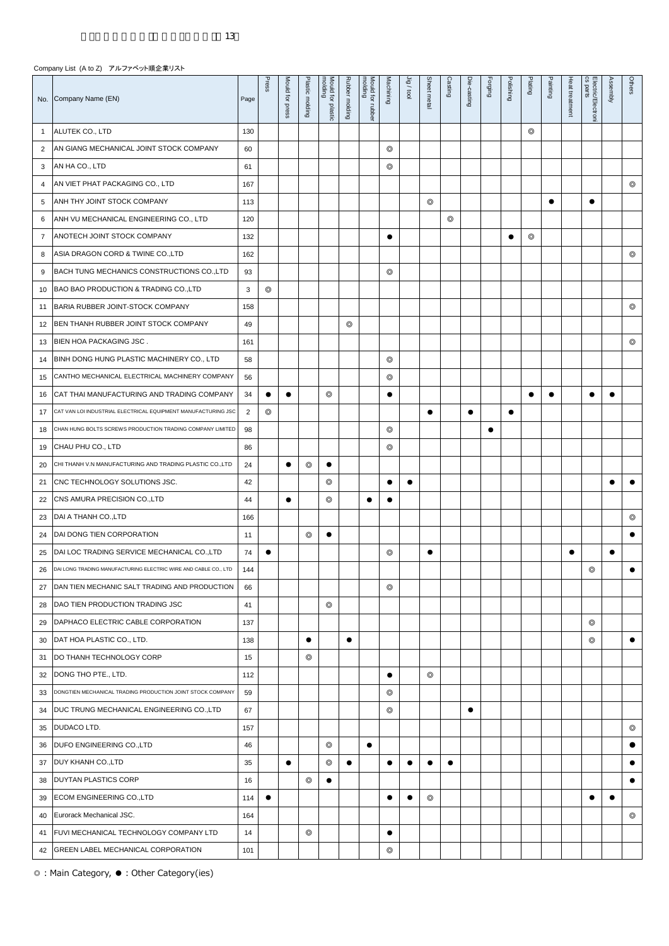|                | No. Company Name (EN)                                           | Page           | Press          | Mould for press | Plastic molding | molding<br>Mould for plastic | Rubber molding | molding<br>Mould for rubber | Machining      | Jig/tool  | Sheet metal    | Casting        | Die-casting | Forging   | Polishing | Plating        | Painting  | Heat treatment | Electric/Electroni<br>cs parts | Assembly  | Others         |
|----------------|-----------------------------------------------------------------|----------------|----------------|-----------------|-----------------|------------------------------|----------------|-----------------------------|----------------|-----------|----------------|----------------|-------------|-----------|-----------|----------------|-----------|----------------|--------------------------------|-----------|----------------|
| 1              | ALUTEK CO., LTD                                                 | 130            |                |                 |                 |                              |                |                             |                |           |                |                |             |           |           | $\circledcirc$ |           |                |                                |           |                |
| $\overline{2}$ | AN GIANG MECHANICAL JOINT STOCK COMPANY                         | 60             |                |                 |                 |                              |                |                             | ⊚              |           |                |                |             |           |           |                |           |                |                                |           |                |
| 3              | AN HA CO., LTD                                                  | 61             |                |                 |                 |                              |                |                             | $^{\circ}$     |           |                |                |             |           |           |                |           |                |                                |           |                |
| 4              | AN VIET PHAT PACKAGING CO., LTD                                 | 167            |                |                 |                 |                              |                |                             |                |           |                |                |             |           |           |                |           |                |                                |           | $^{\circ}$     |
| 5              | ANH THY JOINT STOCK COMPANY                                     | 113            |                |                 |                 |                              |                |                             |                |           | $^{\circ}$     |                |             |           |           |                | $\bullet$ |                | $\bullet$                      |           |                |
| 6              | ANH VU MECHANICAL ENGINEERING CO., LTD                          | 120            |                |                 |                 |                              |                |                             |                |           |                | $\circledcirc$ |             |           |           |                |           |                |                                |           |                |
| $\overline{7}$ | ANOTECH JOINT STOCK COMPANY                                     | 132            |                |                 |                 |                              |                |                             | $\bullet$      |           |                |                |             |           | $\bullet$ | $\circledcirc$ |           |                |                                |           |                |
| 8              | ASIA DRAGON CORD & TWINE CO., LTD                               | 162            |                |                 |                 |                              |                |                             |                |           |                |                |             |           |           |                |           |                |                                |           | $^{\circ}$     |
| 9              | BACH TUNG MECHANICS CONSTRUCTIONS CO., LTD                      | 93             |                |                 |                 |                              |                |                             | ⊚              |           |                |                |             |           |           |                |           |                |                                |           |                |
| 10             | BAO BAO PRODUCTION & TRADING CO., LTD                           | 3              | ⊚              |                 |                 |                              |                |                             |                |           |                |                |             |           |           |                |           |                |                                |           |                |
| 11             | BARIA RUBBER JOINT-STOCK COMPANY                                | 158            |                |                 |                 |                              |                |                             |                |           |                |                |             |           |           |                |           |                |                                |           | $\circledcirc$ |
| 12             | BEN THANH RUBBER JOINT STOCK COMPANY                            | 49             |                |                 |                 |                              | ⊚              |                             |                |           |                |                |             |           |           |                |           |                |                                |           |                |
| 13             | <b>BIEN HOA PACKAGING JSC.</b>                                  | 161            |                |                 |                 |                              |                |                             |                |           |                |                |             |           |           |                |           |                |                                |           | $^{\circ}$     |
| 14             | BINH DONG HUNG PLASTIC MACHINERY CO., LTD                       | 58             |                |                 |                 |                              |                |                             | $\circledcirc$ |           |                |                |             |           |           |                |           |                |                                |           |                |
| 15             | CANTHO MECHANICAL ELECTRICAL MACHINERY COMPANY                  | 56             |                |                 |                 |                              |                |                             | $\circledcirc$ |           |                |                |             |           |           |                |           |                |                                |           |                |
| 16             | CAT THAI MANUFACTURING AND TRADING COMPANY                      | 34             | $\bullet$      | $\bullet$       |                 | $^{\circ}$                   |                |                             |                |           |                |                |             |           |           | $\bullet$      | $\bullet$ |                | $\bullet$                      |           |                |
| 17             | CAT VAN LOI INDUSTRIAL ELECTRICAL EQUIPMENT MANUFACTURING JSC   | $\overline{2}$ | $\circledcirc$ |                 |                 |                              |                |                             |                |           | $\bullet$      |                | $\bullet$   |           | $\bullet$ |                |           |                |                                |           |                |
| 18             | CHAN HUNG BOLTS SCREWS PRODUCTION TRADING COMPANY LIMITED       | 98             |                |                 |                 |                              |                |                             | $^{\circ}$     |           |                |                |             | $\bullet$ |           |                |           |                |                                |           |                |
| 19             | CHAU PHU CO., LTD                                               | 86             |                |                 |                 |                              |                |                             | ⊚              |           |                |                |             |           |           |                |           |                |                                |           |                |
| 20             | CHI THANH V.N MANUFACTURING AND TRADING PLASTIC CO.,LTD         | 24             |                | $\bullet$       | $\circledcirc$  | $\bullet$                    |                |                             |                |           |                |                |             |           |           |                |           |                |                                |           |                |
| 21             | CNC TECHNOLOGY SOLUTIONS JSC.                                   | 42             |                |                 |                 | $\circledcirc$               |                |                             |                |           |                |                |             |           |           |                |           |                |                                | $\bullet$ | $\bullet$      |
| 22             | CNS AMURA PRECISION CO., LTD                                    | 44             |                | $\bullet$       |                 | $\circledcirc$               |                | $\bullet$                   |                |           |                |                |             |           |           |                |           |                |                                |           |                |
| 23             | DAI A THANH CO., LTD                                            | 166            |                |                 |                 |                              |                |                             |                |           |                |                |             |           |           |                |           |                |                                |           | $^{\circ}$     |
| 24             | DAI DONG TIEN CORPORATION                                       | 11             |                |                 | $^{\circ}$      | $\bullet$                    |                |                             |                |           |                |                |             |           |           |                |           |                |                                |           | $\bullet$      |
| 25             | DAI LOC TRADING SERVICE MECHANICAL CO., LTD                     | 74             | $\bullet$      |                 |                 |                              |                |                             | $^{\circ}$     |           | $\bullet$      |                |             |           |           |                |           | $\bullet$      |                                | $\bullet$ |                |
| 26             | DAI LONG TRADING MANUFACTURING ELECTRIC WIRE AND CABLE CO., LTD | 144            |                |                 |                 |                              |                |                             |                |           |                |                |             |           |           |                |           |                | $\circledcirc$                 |           | $\bullet$      |
| 27             | DAN TIEN MECHANIC SALT TRADING AND PRODUCTION                   | 66             |                |                 |                 |                              |                |                             | $\circledcirc$ |           |                |                |             |           |           |                |           |                |                                |           |                |
| 28             | DAO TIEN PRODUCTION TRADING JSC                                 | 41             |                |                 |                 | $\circledcirc$               |                |                             |                |           |                |                |             |           |           |                |           |                |                                |           |                |
| 29             | DAPHACO ELECTRIC CABLE CORPORATION                              | 137            |                |                 |                 |                              |                |                             |                |           |                |                |             |           |           |                |           |                | $\circledcirc$                 |           |                |
| 30             | DAT HOA PLASTIC CO., LTD.                                       | 138            |                |                 | $\bullet$       |                              | $\bullet$      |                             |                |           |                |                |             |           |           |                |           |                | $\circledcirc$                 |           | $\bullet$      |
| 31             | DO THANH TECHNOLOGY CORP                                        | 15             |                |                 | $\circledcirc$  |                              |                |                             |                |           |                |                |             |           |           |                |           |                |                                |           |                |
| 32             | DONG THO PTE., LTD.                                             | 112            |                |                 |                 |                              |                |                             | $\bullet$      |           | $\circledcirc$ |                |             |           |           |                |           |                |                                |           |                |
| 33             | DONGTIEN MECHANICAL TRADING PRODUCTION JOINT STOCK COMPANY      | 59             |                |                 |                 |                              |                |                             | $^{\circ}$     |           |                |                |             |           |           |                |           |                |                                |           |                |
| 34             | DUC TRUNG MECHANICAL ENGINEERING CO.,LTD                        | 67             |                |                 |                 |                              |                |                             | $^{\circ}$     |           |                |                | $\bullet$   |           |           |                |           |                |                                |           |                |
| 35             | DUDACO LTD.                                                     | 157            |                |                 |                 |                              |                |                             |                |           |                |                |             |           |           |                |           |                |                                |           | $\circledcirc$ |
| 36             | DUFO ENGINEERING CO., LTD                                       | 46             |                |                 |                 | $\circledcirc$               |                |                             |                |           |                |                |             |           |           |                |           |                |                                |           | $\bullet$      |
| 37             | DUY KHANH CO., LTD                                              | 35             |                | $\bullet$       |                 | $\circledcirc$               | $\bullet$      |                             | $\bullet$      | $\bullet$ | $\bullet$      | $\bullet$      |             |           |           |                |           |                |                                |           | $\bullet$      |
| 38             | <b>DUYTAN PLASTICS CORP</b>                                     | 16             |                |                 | $\circledcirc$  | $\bullet$                    |                |                             |                |           |                |                |             |           |           |                |           |                |                                |           | $\bullet$      |
| 39             | ECOM ENGINEERING CO., LTD                                       | 114            | $\bullet$      |                 |                 |                              |                |                             |                | $\bullet$ | $^{\circ}$     |                |             |           |           |                |           |                | $\bullet$                      | $\bullet$ |                |
| 40             | Eurorack Mechanical JSC.                                        | 164            |                |                 |                 |                              |                |                             |                |           |                |                |             |           |           |                |           |                |                                |           | $\circledcirc$ |
| 41             | FUVI MECHANICAL TECHNOLOGY COMPANY LTD                          | 14             |                |                 | $\circledcirc$  |                              |                |                             |                |           |                |                |             |           |           |                |           |                |                                |           |                |
| 42             | <b>GREEN LABEL MECHANICAL CORPORATION</b>                       | 101            |                |                 |                 |                              |                |                             | $\circledcirc$ |           |                |                |             |           |           |                |           |                |                                |           |                |

 $\overline{ }$   $\overline{ }$ 

÷

 $\overline{\phantom{a}}$ T T  $\equiv$ T  $\mathbf{r}$  $\mathbf{\overline{1}}$ T T  $\sqrt{2}$ 

÷

 $\overline{\phantom{0}}$ 

T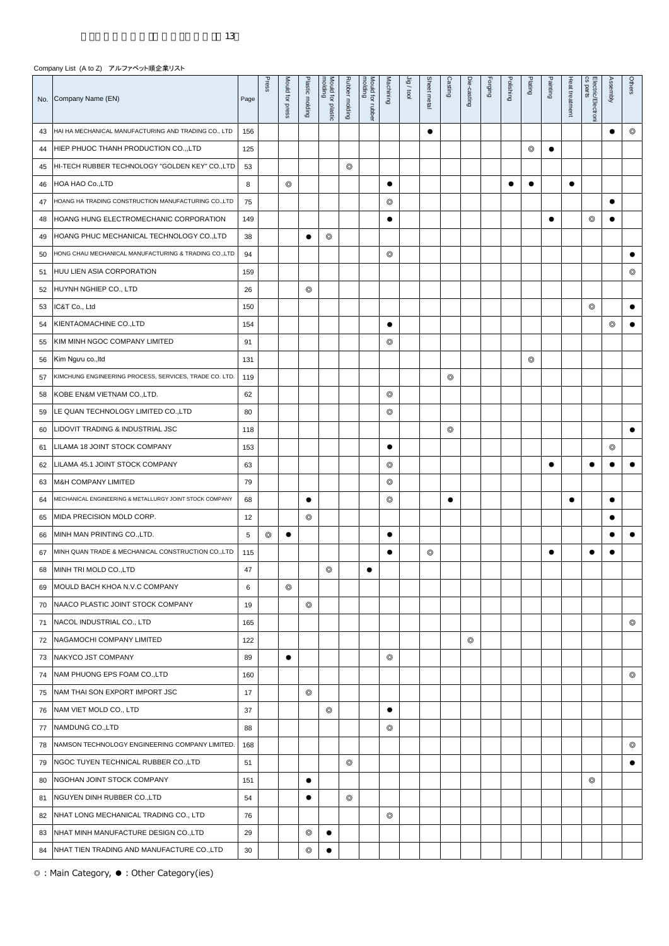|    | No. Company Name (EN)                                   | Page | Press          | Mould for press | Plastic molding | molding<br>Mould for plastic | Rubber molding | molding<br>Mould for rubber | Machining      | Jig/tool | Sheet metal | Casting    | Die-casting | Forging | Polishing | Plating        | Painting  | Heat treatment | cs parts<br>Electric/Electron | Assembly       | Others         |
|----|---------------------------------------------------------|------|----------------|-----------------|-----------------|------------------------------|----------------|-----------------------------|----------------|----------|-------------|------------|-------------|---------|-----------|----------------|-----------|----------------|-------------------------------|----------------|----------------|
| 43 | HAI HA MECHANICAL MANUFACTURING AND TRADING CO., LTD    | 156  |                |                 |                 |                              |                |                             |                |          | $\bullet$   |            |             |         |           |                |           |                |                               | $\bullet$      | $\circledcirc$ |
| 44 | HIEP PHUOC THANH PRODUCTION CO., LTD                    | 125  |                |                 |                 |                              |                |                             |                |          |             |            |             |         |           | $\circledcirc$ | $\bullet$ |                |                               |                |                |
| 45 | HI-TECH RUBBER TECHNOLOGY "GOLDEN KEY" CO.,LTD          | 53   |                |                 |                 |                              | ⊚              |                             |                |          |             |            |             |         |           |                |           |                |                               |                |                |
| 46 | HOA HAO Co.,LTD                                         | 8    |                | $^{\circ}$      |                 |                              |                |                             | $\bullet$      |          |             |            |             |         | $\bullet$ | $\bullet$      |           | $\bullet$      |                               |                |                |
| 47 | HOANG HA TRADING CONSTRUCTION MANUFACTURING CO., LTD    | 75   |                |                 |                 |                              |                |                             | $\circledcirc$ |          |             |            |             |         |           |                |           |                |                               | $\bullet$      |                |
| 48 | HOANG HUNG ELECTROMECHANIC CORPORATION                  | 149  |                |                 |                 |                              |                |                             | $\bullet$      |          |             |            |             |         |           |                | $\bullet$ |                | $\circledcirc$                | $\bullet$      |                |
| 49 | HOANG PHUC MECHANICAL TECHNOLOGY CO.,LTD                | 38   |                |                 | $\bullet$       | $\circledcirc$               |                |                             |                |          |             |            |             |         |           |                |           |                |                               |                |                |
| 50 | HONG CHAU MECHANICAL MANUFACTURING & TRADING CO.,LTD    | 94   |                |                 |                 |                              |                |                             | ⊚              |          |             |            |             |         |           |                |           |                |                               |                | $\bullet$      |
| 51 | HUU LIEN ASIA CORPORATION                               | 159  |                |                 |                 |                              |                |                             |                |          |             |            |             |         |           |                |           |                |                               |                | $^{\circ}$     |
| 52 | HUYNH NGHIEP CO., LTD                                   | 26   |                |                 | $\circledcirc$  |                              |                |                             |                |          |             |            |             |         |           |                |           |                |                               |                |                |
| 53 | IC&T Co., Ltd                                           | 150  |                |                 |                 |                              |                |                             |                |          |             |            |             |         |           |                |           |                | $\circledcirc$                |                | $\bullet$      |
| 54 | KIENTAOMACHINE CO., LTD                                 | 154  |                |                 |                 |                              |                |                             | $\bullet$      |          |             |            |             |         |           |                |           |                |                               | $\circledcirc$ | $\bullet$      |
| 55 | KIM MINH NGOC COMPANY LIMITED                           | 91   |                |                 |                 |                              |                |                             | $^{\circ}$     |          |             |            |             |         |           |                |           |                |                               |                |                |
| 56 | Kim Ngưu co., ltd                                       | 131  |                |                 |                 |                              |                |                             |                |          |             |            |             |         |           | $\circledcirc$ |           |                |                               |                |                |
| 57 | KIMCHUNG ENGINEERING PROCESS, SERVICES, TRADE CO. LTD.  | 119  |                |                 |                 |                              |                |                             |                |          |             | $^{\circ}$ |             |         |           |                |           |                |                               |                |                |
| 58 | KOBE EN&M VIETNAM CO.,LTD.                              | 62   |                |                 |                 |                              |                |                             | ⊚              |          |             |            |             |         |           |                |           |                |                               |                |                |
| 59 | LE QUAN TECHNOLOGY LIMITED CO.,LTD                      | 80   |                |                 |                 |                              |                |                             | $^{\circ}$     |          |             |            |             |         |           |                |           |                |                               |                |                |
| 60 | LIDOVIT TRADING & INDUSTRIAL JSC                        | 118  |                |                 |                 |                              |                |                             |                |          |             | $^{\circ}$ |             |         |           |                |           |                |                               |                | $\bullet$      |
| 61 | LILAMA 18 JOINT STOCK COMPANY                           | 153  |                |                 |                 |                              |                |                             |                |          |             |            |             |         |           |                |           |                |                               | $\circledcirc$ |                |
| 62 | LILAMA 45.1 JOINT STOCK COMPANY                         | 63   |                |                 |                 |                              |                |                             | $\circledcirc$ |          |             |            |             |         |           |                | $\bullet$ |                | $\bullet$                     | $\bullet$      | $\bullet$      |
| 63 | M&H COMPANY LIMITED                                     | 79   |                |                 |                 |                              |                |                             | ⊚              |          |             |            |             |         |           |                |           |                |                               |                |                |
| 64 | MECHANICAL ENGINEERING & METALLURGY JOINT STOCK COMPANY | 68   |                |                 | $\bullet$       |                              |                |                             | ⊚              |          |             | $\bullet$  |             |         |           |                |           | $\bullet$      |                               | $\bullet$      |                |
| 65 | MIDA PRECISION MOLD CORP.                               | 12   |                |                 | $^{\circ}$      |                              |                |                             |                |          |             |            |             |         |           |                |           |                |                               |                |                |
| 66 | MINH MAN PRINTING CO., LTD.                             | 5    | $\circledcirc$ | $\bullet$       |                 |                              |                |                             |                |          |             |            |             |         |           |                |           |                |                               | $\bullet$      | $\bullet$      |
| 67 | MINH QUAN TRADE & MECHANICAL CONSTRUCTION CO., LTD      | 115  |                |                 |                 |                              |                |                             |                |          | $^{\circ}$  |            |             |         |           |                | $\bullet$ |                | ٠                             |                |                |
| 68 | MINH TRI MOLD CO., LTD                                  | 47   |                |                 |                 | $\circledcirc$               |                |                             |                |          |             |            |             |         |           |                |           |                |                               |                |                |
| 69 | MOULD BACH KHOA N.V.C COMPANY                           | 6    |                | $\circledcirc$  |                 |                              |                |                             |                |          |             |            |             |         |           |                |           |                |                               |                |                |
| 70 | NAACO PLASTIC JOINT STOCK COMPANY                       | 19   |                |                 | $\circledcirc$  |                              |                |                             |                |          |             |            |             |         |           |                |           |                |                               |                |                |
| 71 | NACOL INDUSTRIAL CO., LTD                               | 165  |                |                 |                 |                              |                |                             |                |          |             |            |             |         |           |                |           |                |                               |                | ⊚              |
| 72 | NAGAMOCHI COMPANY LIMITED                               | 122  |                |                 |                 |                              |                |                             |                |          |             |            | ⊚           |         |           |                |           |                |                               |                |                |
| 73 | NAKYCO JST COMPANY                                      | 89   |                | $\bullet$       |                 |                              |                |                             | ⊚              |          |             |            |             |         |           |                |           |                |                               |                |                |
| 74 | NAM PHUONG EPS FOAM CO., LTD                            | 160  |                |                 |                 |                              |                |                             |                |          |             |            |             |         |           |                |           |                |                               |                | ⊚              |
| 75 | NAM THAI SON EXPORT IMPORT JSC                          | 17   |                |                 | $\circledcirc$  |                              |                |                             |                |          |             |            |             |         |           |                |           |                |                               |                |                |
| 76 | NAM VIET MOLD CO., LTD                                  | 37   |                |                 |                 | $^{\circ}$                   |                |                             | $\bullet$      |          |             |            |             |         |           |                |           |                |                               |                |                |
| 77 | NAMDUNG CO., LTD                                        | 88   |                |                 |                 |                              |                |                             | $\circledcirc$ |          |             |            |             |         |           |                |           |                |                               |                |                |
| 78 | NAMSON TECHNOLOGY ENGINEERING COMPANY LIMITED.          | 168  |                |                 |                 |                              |                |                             |                |          |             |            |             |         |           |                |           |                |                               |                | $\circledcirc$ |
| 79 | NGOC TUYEN TECHNICAL RUBBER CO.,LTD                     | 51   |                |                 |                 |                              | $\circledcirc$ |                             |                |          |             |            |             |         |           |                |           |                |                               |                | $\bullet$      |
| 80 | NGOHAN JOINT STOCK COMPANY                              | 151  |                |                 | $\bullet$       |                              |                |                             |                |          |             |            |             |         |           |                |           |                | $\circledcirc$                |                |                |
| 81 | NGUYEN DINH RUBBER CO.,LTD                              | 54   |                |                 | $\bullet$       |                              | $\circledcirc$ |                             |                |          |             |            |             |         |           |                |           |                |                               |                |                |
| 82 | NHAT LONG MECHANICAL TRADING CO., LTD                   | 76   |                |                 |                 |                              |                |                             | ⊚              |          |             |            |             |         |           |                |           |                |                               |                |                |
| 83 | NHAT MINH MANUFACTURE DESIGN CO., LTD                   | 29   |                |                 | $^{\circ}$      | $\bullet$                    |                |                             |                |          |             |            |             |         |           |                |           |                |                               |                |                |
| 84 | NHAT TIEN TRADING AND MANUFACTURE CO., LTD              | 30   |                |                 | $\circledcirc$  | $\bullet$                    |                |                             |                |          |             |            |             |         |           |                |           |                |                               |                |                |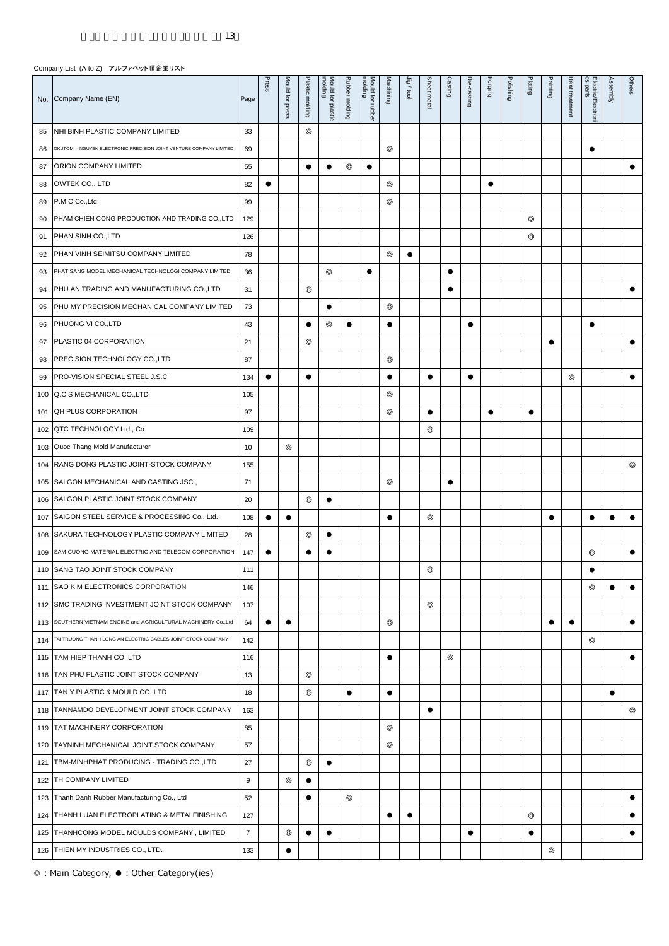|     | No. Company Name (EN)                                               | Page           | Press     | Mould for press | Plastic molding | molding<br>Mould for<br>plastic | Rubber molding | molding<br>Mould for rubber | Machining      | Jig/tool  | Sheet metal    | Casting    | Die-casting | Forging   | Polishing | Plating        | Painting       | Heat treatment | cs parts<br>Electric/Electron | Assembly  | Others     |
|-----|---------------------------------------------------------------------|----------------|-----------|-----------------|-----------------|---------------------------------|----------------|-----------------------------|----------------|-----------|----------------|------------|-------------|-----------|-----------|----------------|----------------|----------------|-------------------------------|-----------|------------|
| 85  | NHI BINH PLASTIC COMPANY LIMITED                                    | 33             |           |                 | $\circledcirc$  |                                 |                |                             |                |           |                |            |             |           |           |                |                |                |                               |           |            |
| 86  | OKUTOMI - NGUYEN ELECTRONIC PRECISION JOINT VENTURE COMPANY LIMITED | 69             |           |                 |                 |                                 |                |                             | ⊚              |           |                |            |             |           |           |                |                |                | $\bullet$                     |           |            |
| 87  | ORION COMPANY LIMITED                                               | 55             |           |                 | $\bullet$       |                                 | ⊚              | ٠                           |                |           |                |            |             |           |           |                |                |                |                               |           | $\bullet$  |
| 88  | OWTEK CO,. LTD                                                      | 82             | $\bullet$ |                 |                 |                                 |                |                             | $^{\circ}$     |           |                |            |             | $\bullet$ |           |                |                |                |                               |           |            |
| 89  | P.M.C Co., Ltd                                                      | 99             |           |                 |                 |                                 |                |                             | $\circledcirc$ |           |                |            |             |           |           |                |                |                |                               |           |            |
| 90  | PHAM CHIEN CONG PRODUCTION AND TRADING CO.,LTD                      | 129            |           |                 |                 |                                 |                |                             |                |           |                |            |             |           |           | $^{\circ}$     |                |                |                               |           |            |
| 91  | PHAN SINH CO., LTD                                                  | 126            |           |                 |                 |                                 |                |                             |                |           |                |            |             |           |           | $^{\circ}$     |                |                |                               |           |            |
| 92  | PHAN VINH SEIMITSU COMPANY LIMITED                                  | 78             |           |                 |                 |                                 |                |                             | $^{\circ}$     | $\bullet$ |                |            |             |           |           |                |                |                |                               |           |            |
| 93  | PHAT SANG MODEL MECHANICAL TECHNOLOGI COMPANY LIMITED               | 36             |           |                 |                 | $^{\circ}$                      |                |                             |                |           |                |            |             |           |           |                |                |                |                               |           |            |
| 94  | PHU AN TRADING AND MANUFACTURING CO., LTD                           | 31             |           |                 | ⊚               |                                 |                |                             |                |           |                | $\bullet$  |             |           |           |                |                |                |                               |           | $\bullet$  |
| 95  | PHU MY PRECISION MECHANICAL COMPANY LIMITED                         | 73             |           |                 |                 |                                 |                |                             | ⊚              |           |                |            |             |           |           |                |                |                |                               |           |            |
| 96  | PHUONG VI CO., LTD                                                  | 43             |           |                 | $\bullet$       | ⊚                               | $\bullet$      |                             |                |           |                |            |             |           |           |                |                |                | $\bullet$                     |           |            |
| 97  | PLASTIC 04 CORPORATION                                              | 21             |           |                 | $^{\circ}$      |                                 |                |                             |                |           |                |            |             |           |           |                | $\bullet$      |                |                               |           | $\bullet$  |
| 98  | PRECISION TECHNOLOGY CO., LTD                                       | 87             |           |                 |                 |                                 |                |                             | $^{\circ}$     |           |                |            |             |           |           |                |                |                |                               |           |            |
| 99  | PRO-VISION SPECIAL STEEL J.S.C                                      | 134            | $\bullet$ |                 | ٠               |                                 |                |                             |                |           | $\bullet$      |            | $\bullet$   |           |           |                |                | $^{\circ}$     |                               |           | $\bullet$  |
| 100 | Q.C.S MECHANICAL CO.,LTD                                            | 105            |           |                 |                 |                                 |                |                             | $^{\circ}$     |           |                |            |             |           |           |                |                |                |                               |           |            |
| 101 | QH PLUS CORPORATION                                                 | 97             |           |                 |                 |                                 |                |                             | $^{\circ}$     |           | $\bullet$      |            |             | $\bullet$ |           | $\bullet$      |                |                |                               |           |            |
| 102 | QTC TECHNOLOGY Ltd., Co                                             | 109            |           |                 |                 |                                 |                |                             |                |           | $^{\circ}$     |            |             |           |           |                |                |                |                               |           |            |
| 103 | Quoc Thang Mold Manufacturer                                        | 10             |           | ⊚               |                 |                                 |                |                             |                |           |                |            |             |           |           |                |                |                |                               |           |            |
| 104 | RANG DONG PLASTIC JOINT-STOCK COMPANY                               | 155            |           |                 |                 |                                 |                |                             |                |           |                |            |             |           |           |                |                |                |                               |           | $^{\circ}$ |
| 105 | SAI GON MECHANICAL AND CASTING JSC.,                                | 71             |           |                 |                 |                                 |                |                             | $^{\circ}$     |           |                | $\bullet$  |             |           |           |                |                |                |                               |           |            |
| 106 | SAI GON PLASTIC JOINT STOCK COMPANY                                 | 20             |           |                 | $^{\circ}$      | $\bullet$                       |                |                             |                |           |                |            |             |           |           |                |                |                |                               |           |            |
| 107 | SAIGON STEEL SERVICE & PROCESSING Co., Ltd.                         | 108            | $\bullet$ | $\bullet$       |                 |                                 |                |                             | $\bullet$      |           | $^{\circ}$     |            |             |           |           |                | $\bullet$      |                | $\bullet$                     |           | $\bullet$  |
| 108 | SAKURA TECHNOLOGY PLASTIC COMPANY LIMITED                           | 28             |           |                 | $^{\circ}$      | $\bullet$                       |                |                             |                |           |                |            |             |           |           |                |                |                |                               |           |            |
| 109 | SAM CUONG MATERIAL ELECTRIC AND TELECOM CORPORATION                 | 147            | $\bullet$ |                 |                 | $\bullet$                       |                |                             |                |           |                |            |             |           |           |                |                |                | $^{\circ}$                    |           | $\bullet$  |
| 110 | SANG TAO JOINT STOCK COMPANY                                        | 111            |           |                 |                 |                                 |                |                             |                |           | ⊚              |            |             |           |           |                |                |                | $\bullet$                     |           |            |
| 111 | SAO KIM ELECTRONICS CORPORATION                                     | 146            |           |                 |                 |                                 |                |                             |                |           |                |            |             |           |           |                |                |                | $\circledcirc$                | $\bullet$ |            |
| 112 | SMC TRADING INVESTMENT JOINT STOCK COMPANY                          | 107            |           |                 |                 |                                 |                |                             |                |           | $\circledcirc$ |            |             |           |           |                |                |                |                               |           |            |
| 113 | SOUTHERN VIETNAM ENGINE and AGRICULTURAL MACHINERY Co., Ltd         | 64             | $\bullet$ | $\bullet$       |                 |                                 |                |                             | ⊚              |           |                |            |             |           |           |                | $\bullet$      | $\bullet$      |                               |           | $\bullet$  |
| 114 | TAI TRUONG THANH LONG AN ELECTRIC CABLES JOINT-STOCK COMPANY        | 142            |           |                 |                 |                                 |                |                             |                |           |                |            |             |           |           |                |                |                | $\circledcirc$                |           |            |
| 115 | TAM HIEP THANH CO., LTD                                             | 116            |           |                 |                 |                                 |                |                             | $\bullet$      |           |                | $^{\circ}$ |             |           |           |                |                |                |                               |           | $\bullet$  |
| 116 | TAN PHU PLASTIC JOINT STOCK COMPANY                                 | 13             |           |                 | $\circledcirc$  |                                 |                |                             |                |           |                |            |             |           |           |                |                |                |                               |           |            |
| 117 | TAN Y PLASTIC & MOULD CO., LTD                                      | 18             |           |                 | $\circledcirc$  |                                 | $\bullet$      |                             | $\bullet$      |           |                |            |             |           |           |                |                |                |                               | $\bullet$ |            |
| 118 | TANNAMDO DEVELOPMENT JOINT STOCK COMPANY                            | 163            |           |                 |                 |                                 |                |                             |                |           | $\bullet$      |            |             |           |           |                |                |                |                               |           | $^{\circ}$ |
| 119 | TAT MACHINERY CORPORATION                                           | 85             |           |                 |                 |                                 |                |                             | $\circledcirc$ |           |                |            |             |           |           |                |                |                |                               |           |            |
| 120 | TAYNINH MECHANICAL JOINT STOCK COMPANY                              | 57             |           |                 |                 |                                 |                |                             | ⊚              |           |                |            |             |           |           |                |                |                |                               |           |            |
| 121 | TBM-MINHPHAT PRODUCING - TRADING CO.,LTD                            | 27             |           |                 | $^{\circ}$      | $\bullet$                       |                |                             |                |           |                |            |             |           |           |                |                |                |                               |           |            |
| 122 | TH COMPANY LIMITED                                                  | 9              |           | $^{\circ}$      | $\bullet$       |                                 |                |                             |                |           |                |            |             |           |           |                |                |                |                               |           |            |
| 123 | Thanh Danh Rubber Manufacturing Co., Ltd                            | 52             |           |                 | $\bullet$       |                                 | ⊚              |                             |                |           |                |            |             |           |           |                |                |                |                               |           | $\bullet$  |
| 124 | THANH LUAN ELECTROPLATING & METALFINISHING                          | 127            |           |                 |                 |                                 |                |                             | $\bullet$      | $\bullet$ |                |            |             |           |           | $\circledcirc$ |                |                |                               |           | $\bullet$  |
| 125 | THANHCONG MODEL MOULDS COMPANY, LIMITED                             | $\overline{7}$ |           | $\circledcirc$  |                 | $\bullet$                       |                |                             |                |           |                |            | $\bullet$   |           |           | $\bullet$      |                |                |                               |           | $\bullet$  |
| 126 | THIEN MY INDUSTRIES CO., LTD.                                       | 133            |           | $\bullet$       |                 |                                 |                |                             |                |           |                |            |             |           |           |                | $\circledcirc$ |                |                               |           |            |

 $\overline{ }$   $\overline{ }$ 

÷

 $\overline{\phantom{a}}$ T T  $\equiv$ T  $\mathbf{r}$  $\mathbf{\overline{1}}$ T T  $\sqrt{2}$ 

÷

 $\overline{\phantom{0}}$ 

T